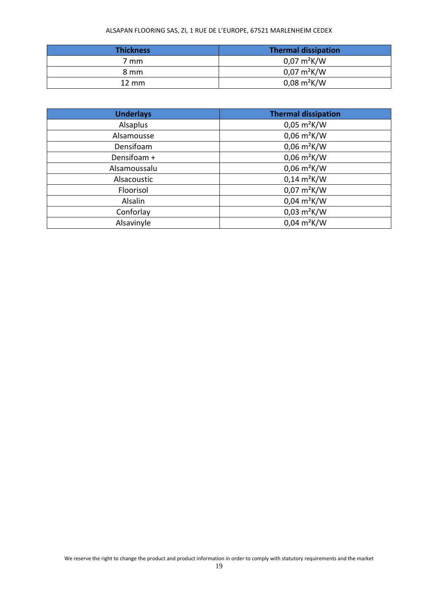## ALSAPAN FLOORING SAS, ZI, 1 RUE DE L'EUROPE, 67521 MARLENHEIM CEDEX

| <b>Thickness</b> | <b>Thermal dissipation</b>    |
|------------------|-------------------------------|
| 7 mm             | $0.07 \text{ m}^2 \text{K/W}$ |
| 8 mm             | $0.07 \text{ m}^2 \text{K/W}$ |
| $12 \text{ mm}$  | $0.08 \text{ m}^2 \text{K/W}$ |